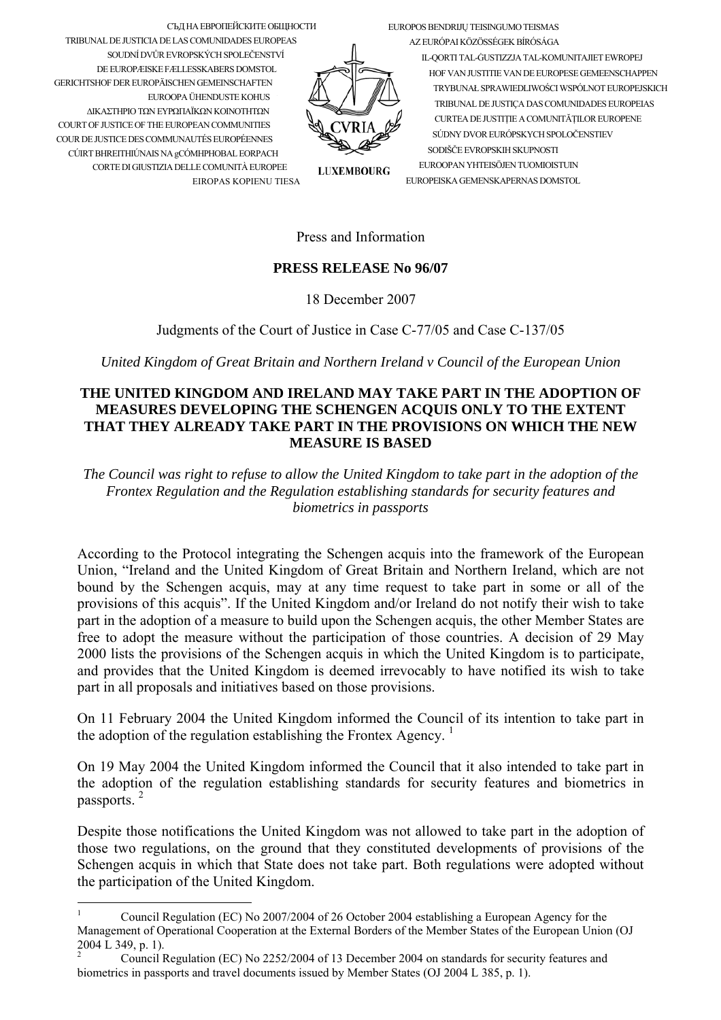

СЪД НА ЕВРОПЕЙСКИТЕ ОБЩНОСТИ TRIBUNAL DE JUSTICIA DE LAS COMUNIDADES EUROPEAS SOUDNÍ DVŮR EVROPSKÝCH SPOLEČENSTVÍ DE EUROPÆISKE FÆLLESSKABERS DOMSTOL **GERICHTSHOF DER ELIROPÄISCHEN GEMEINSCHAFTEN** EUROOPA ÜHENDUSTE KOHUS ΔΙΚΑΣΤΗΡΙΟ ΤΩΝ ΕΥΡΩΠΑΪΚΩΝ ΚΟΙΝΟΤΗΤΩΝ COURT OF JUSTICE OF THE EUROPEAN COMMUNITIES COUR DE JUSTICE DES COMMUNAUTÉS EUROPÉENNES CÚIRT BHREITHIÚNAIS NA gCÓMHPHOBAL EORPACH CORTE DI GIUSTIZIA DELLE COMUNITÀ EUROPEE EIROPAS KOPIENU TIESA

AZ EURÓPAI KÖZÖSSÉGEK BÍRÓSÁGA IL-QORTI TAL-GUSTIZZJA TAL-KOMUNITAJIET EWROPEJ HOF VAN II ISTITTE VAN DE EI IROPESE GEMEENSCHAPPEN TRYBUNAŁ SPRAWIEDLIWOŚCI WSPÓLNOT EUROPEJSKICH TRIBUNAL DE JUSTICA DAS COMUNIDADES EUROPEIAS CURTEA DE JUSTITIE A COMUNITĂTILOR EUROPENE SÚDNY DVOR EURÓPSKYCH SPOLOČENSTIEV SODIŠČE EVROPSKIH SKUPNOSTI EUROOPAN YHTEISÖJEN TUOMIOISTUIN EUROPEISKA GEMENSKAPERNAS DOMSTOL

**LUXEMBOURG** 

## Press and Information

## **PRESS RELEASE No 96/07**

18 December 2007

Judgments of the Court of Justice in Case C-77/05 and Case C-137/05

United Kingdom of Great Britain and Northern Ireland v Council of the European Union

## THE UNITED KINGDOM AND IRELAND MAY TAKE PART IN THE ADOPTION OF MEASURES DEVELOPING THE SCHENGEN ACQUIS ONLY TO THE EXTENT THAT THEY ALREADY TAKE PART IN THE PROVISIONS ON WHICH THE NEW **MEASURE IS BASED**

The Council was right to refuse to allow the United Kingdom to take part in the adoption of the Frontex Regulation and the Regulation establishing standards for security features and biometrics in passports

According to the Protocol integrating the Schengen acquis into the framework of the European Union, "Ireland and the United Kingdom of Great Britain and Northern Ireland, which are not bound by the Schengen acquis, may at any time request to take part in some or all of the provisions of this acquis". If the United Kingdom and/or Ireland do not notify their wish to take part in the adoption of a measure to build upon the Schengen acquis, the other Member States are free to adopt the measure without the participation of those countries. A decision of 29 May 2000 lists the provisions of the Schengen acquis in which the United Kingdom is to participate, and provides that the United Kingdom is deemed irrevocably to have notified its wish to take part in all proposals and initiatives based on those provisions.

On 11 February 2004 the United Kingdom informed the Council of its intention to take part in the adoption of the regulation establishing the Frontex Agency.<sup>1</sup>

On 19 May 2004 the United Kingdom informed the Council that it also intended to take part in the adoption of the regulation establishing standards for security features and biometrics in passports. $^{2}$ 

Despite those notifications the United Kingdom was not allowed to take part in the adoption of those two regulations, on the ground that they constituted developments of provisions of the Schengen acquis in which that State does not take part. Both regulations were adopted without the participation of the United Kingdom.

<span id="page-0-0"></span>Council Regulation (EC) No 2007/2004 of 26 October 2004 establishing a European Agency for the Management of Operational Cooperation at the External Borders of the Member States of the European Union (OJ 2004 L 349, p. 1).

<span id="page-0-1"></span> $\overline{2}$ Council Regulation (EC) No 2252/2004 of 13 December 2004 on standards for security features and biometrics in passports and travel documents issued by Member States (OJ 2004 L 385, p. 1).